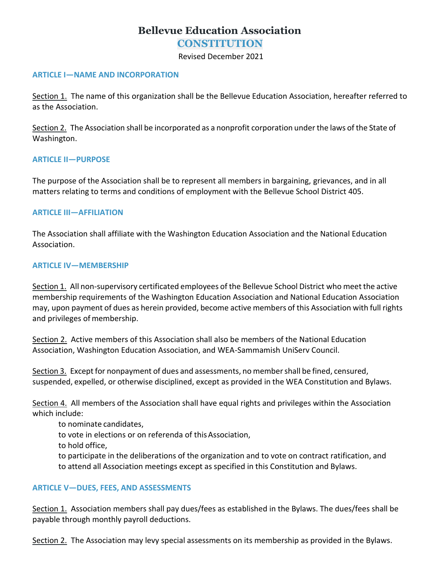# **Bellevue Education Association**

**CONSTITUTION**

Revised December 2021

#### **ARTICLE I—NAME AND INCORPORATION**

Section 1. The name of this organization shall be the Bellevue Education Association, hereafter referred to as the Association.

Section 2. The Association shall be incorporated as a nonprofit corporation under the laws of the State of Washington.

#### **ARTICLE II—PURPOSE**

The purpose of the Association shall be to represent all members in bargaining, grievances, and in all matters relating to terms and conditions of employment with the Bellevue School District 405.

## **ARTICLE III—AFFILIATION**

The Association shall affiliate with the Washington Education Association and the National Education Association.

#### **ARTICLE IV—MEMBERSHIP**

Section 1. All non-supervisory certificated employees of the Bellevue School District who meet the active membership requirements of the Washington Education Association and National Education Association may, upon payment of dues as herein provided, become active members of this Association with full rights and privileges of membership.

Section 2. Active members of this Association shall also be members of the National Education Association, Washington Education Association, and WEA-Sammamish UniServ Council.

Section 3. Except for nonpayment of dues and assessments, no member shall be fined, censured, suspended, expelled, or otherwise disciplined, except as provided in the WEA Constitution and Bylaws.

Section 4. All members of the Association shall have equal rights and privileges within the Association which include:

to nominate candidates,

to vote in elections or on referenda of thisAssociation,

to hold office,

to participate in the deliberations of the organization and to vote on contract ratification, and to attend all Association meetings except as specified in this Constitution and Bylaws.

#### **ARTICLE V—DUES, FEES, AND ASSESSMENTS**

Section 1. Association members shall pay dues/fees as established in the Bylaws. The dues/fees shall be payable through monthly payroll deductions.

Section 2. The Association may levy special assessments on its membership as provided in the Bylaws.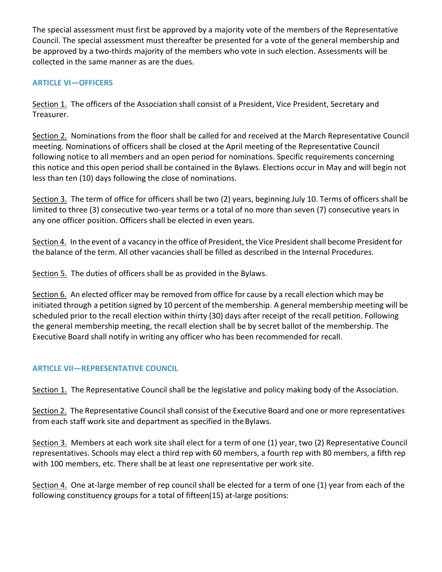The special assessment must first be approved by a majority vote of the members of the Representative Council. The special assessment must thereafter be presented for a vote of the general membership and be approved by a two-thirds majority of the members who vote in such election. Assessments will be collected in the same manner as are the dues.

# **ARTICLE VI—OFFICERS**

Section 1. The officers of the Association shall consist of a President, Vice President, Secretary and Treasurer.

Section 2. Nominations from the floor shall be called for and received at the March Representative Council meeting. Nominations of officers shall be closed at the April meeting of the Representative Council following notice to all members and an open period for nominations. Specific requirements concerning this notice and this open period shall be contained in the Bylaws. Elections occur in May and will begin not less than ten (10) days following the close of nominations.

Section 3. The term of office for officers shall be two (2) years, beginning July 10. Terms of officers shall be limited to three (3) consecutive two-year terms or a total of no more than seven (7) consecutive years in any one officer position. Officers shall be elected in even years.

Section 4. In the event of a vacancy in the office of President, the Vice President shall become President for the balance of the term. All other vacancies shall be filled as described in the Internal Procedures.

Section 5. The duties of officers shall be as provided in the Bylaws.

Section 6. An elected officer may be removed from office for cause by a recall election which may be initiated through a petition signed by 10 percent of the membership. A general membership meeting will be scheduled prior to the recall election within thirty (30) days after receipt of the recall petition. Following the general membership meeting, the recall election shall be by secret ballot of the membership. The Executive Board shall notify in writing any officer who has been recommended for recall.

# **ARTICLE VII—REPRESENTATIVE COUNCIL**

Section 1. The Representative Council shall be the legislative and policy making body of the Association.

Section 2. The Representative Council shall consist of the Executive Board and one or more representatives from each staff work site and department as specified in theBylaws.

Section 3. Members at each work site shall elect for a term of one (1) year, two (2) Representative Council representatives. Schools may elect a third rep with 60 members, a fourth rep with 80 members, a fifth rep with 100 members, etc. There shall be at least one representative per work site.

Section 4. One at-large member of rep council shall be elected for a term of one (1) year from each of the following constituency groups for a total of fifteen(15) at-large positions: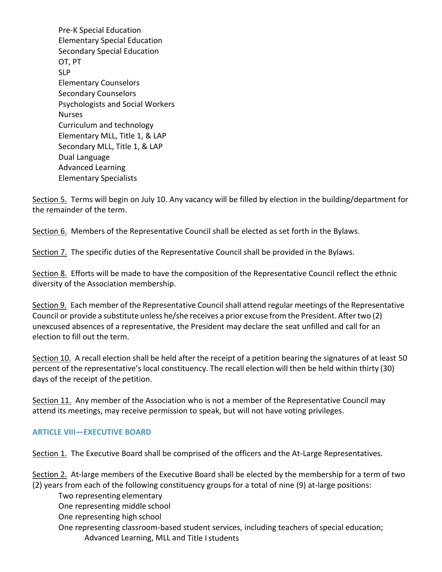Elementary Specialists Pre-K Special Education Elementary Special Education Secondary Special Education OT, PT SLP Elementary Counselors Secondary Counselors Psychologists and Social Workers Nurses Curriculum and technology Elementary MLL, Title 1, & LAP Secondary MLL, Title 1, & LAP Dual Language Advanced Learning

Section 5. Terms will begin on July 10. Any vacancy will be filled by election in the building/department for the remainder of the term.

Section 6. Members of the Representative Council shall be elected as set forth in the Bylaws.

Section 7. The specific duties of the Representative Council shall be provided in the Bylaws.

Section 8. Efforts will be made to have the composition of the Representative Council reflect the ethnic diversity of the Association membership.

Section 9. Each member of the Representative Council shall attend regular meetings of the Representative Council or provide a substitute unless he/she receives a prior excuse fromthe President. Aftertwo (2) unexcused absences of a representative, the President may declare the seat unfilled and call for an election to fill out the term.

Section 10. A recall election shall be held after the receipt of a petition bearing the signatures of at least 50 percent of the representative's local constituency. The recall election will then be held within thirty (30) days of the receipt of the petition.

Section 11. Any member of the Association who is not a member of the Representative Council may attend its meetings, may receive permission to speak, but will not have voting privileges.

## **ARTICLE VIII—EXECUTIVE BOARD**

Section 1. The Executive Board shall be comprised of the officers and the At-Large Representatives.

Section 2. At-large members of the Executive Board shall be elected by the membership for a term of two (2) years from each of the following constituency groups for a total of nine (9) at-large positions:

Two representing elementary

One representing middle school

One representing high school

One representing classroom-based student services, including teachers of special education; Advanced Learning, MLL and Title Istudents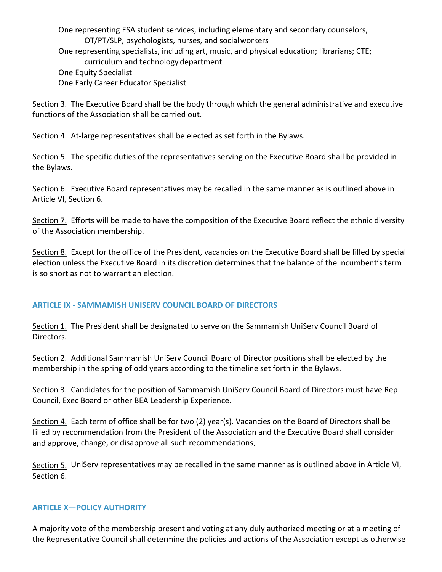One representing ESA student services, including elementary and secondary counselors, OT/PT/SLP, psychologists, nurses, and socialworkers One representing specialists, including art, music, and physical education; librarians; CTE; curriculum and technology department One Equity Specialist One Early Career Educator Specialist

Section 3. The Executive Board shall be the body through which the general administrative and executive functions of the Association shall be carried out.

Section 4. At-large representatives shall be elected as set forth in the Bylaws.

Section 5. The specific duties of the representatives serving on the Executive Board shall be provided in the Bylaws.

Section 6. Executive Board representatives may be recalled in the same manner as is outlined above in Article VI, Section 6.

Section 7. Efforts will be made to have the composition of the Executive Board reflect the ethnic diversity of the Association membership.

Section 8. Except for the office of the President, vacancies on the Executive Board shall be filled by special election unless the Executive Board in its discretion determines that the balance of the incumbent's term is so short as not to warrant an election.

# **ARTICLE IX - SAMMAMISH UNISERV COUNCIL BOARD OF DIRECTORS**

Section 1. The President shall be designated to serve on the Sammamish UniServ Council Board of Directors.

Section 2. Additional Sammamish UniServ Council Board of Director positions shall be elected by the membership in the spring of odd years according to the timeline set forth in the Bylaws.

Section 3. Candidates for the position of Sammamish UniServ Council Board of Directors must have Rep Council, Exec Board or other BEA Leadership Experience.

Section 4. Each term of office shall be for two (2) year(s). Vacancies on the Board of Directors shall be filled by recommendation from the President of the Association and the Executive Board shall consider and approve, change, or disapprove all such recommendations.

Section 5. UniServ representatives may be recalled in the same manner as is outlined above in Article VI, Section 6.

## **ARTICLE X—POLICY AUTHORITY**

A majority vote of the membership present and voting at any duly authorized meeting or at a meeting of the Representative Council shall determine the policies and actions of the Association except as otherwise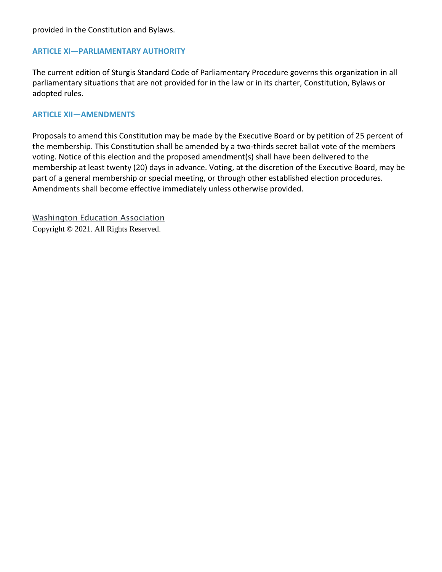## **ARTICLE XI—PARLIAMENTARY AUTHORITY**

The current edition of Sturgis Standard Code of Parliamentary Procedure governs this organization in all parliamentary situations that are not provided for in the law or in its charter, Constitution, Bylaws or adopted rules.

## **ARTICLE XII—AMENDMENTS**

Proposals to amend this Constitution may be made by the Executive Board or by petition of 25 percent of the membership. This Constitution shall be amended by a two-thirds secret ballot vote of the members voting. Notice of this election and the proposed amendment(s) shall have been delivered to the membership at least twenty (20) days in advance. Voting, at the discretion of the Executive Board, may be part of a general membership or special meeting, or through other established election procedures. Amendments shall become effective immediately unless otherwise provided.

[Washington Education Association](http://www.washingtonea.org/) Copyright © 2021. All Rights Reserved.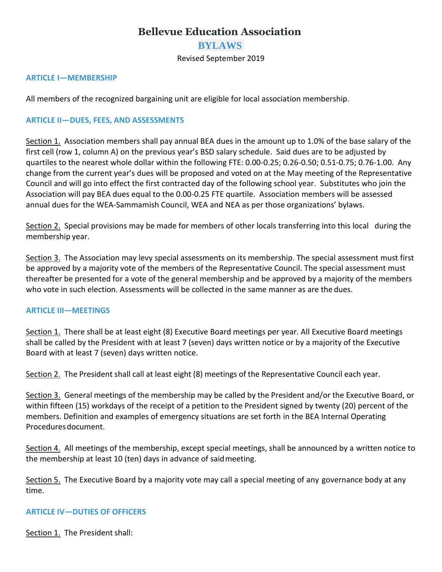# **Bellevue Education Association**

## **BYLAWS**

Revised September 2019

#### **ARTICLE I—MEMBERSHIP**

All members of the recognized bargaining unit are eligible for local association membership.

#### **ARTICLE II—DUES, FEES, AND ASSESSMENTS**

Section 1. Association members shall pay annual BEA dues in the amount up to 1.0% of the base salary of the first cell (row 1, column A) on the previous year's BSD salary schedule. Said dues are to be adjusted by quartiles to the nearest whole dollar within the following FTE: 0.00-0.25; 0.26-0.50; 0.51-0.75; 0.76-1.00. Any change from the current year's dues will be proposed and voted on at the May meeting of the Representative Council and will go into effect the first contracted day of the following school year. Substitutes who join the Association will pay BEA dues equal to the 0.00-0.25 FTE quartile. Association members will be assessed annual dues for the WEA-Sammamish Council, WEA and NEA as per those organizations' bylaws.

Section 2. Special provisions may be made for members of other locals transferring into this local during the membership year.

Section 3. The Association may levy special assessments on its membership. The special assessment must first be approved by a majority vote of the members of the Representative Council. The special assessment must thereafter be presented for a vote of the general membership and be approved by a majority of the members who vote in such election. Assessments will be collected in the same manner as are the dues.

#### **ARTICLE III—MEETINGS**

Section 1. There shall be at least eight (8) Executive Board meetings per year. All Executive Board meetings shall be called by the President with at least 7 (seven) days written notice or by a majority of the Executive Board with at least 7 (seven) days written notice.

Section 2. The President shall call at least eight (8) meetings of the Representative Council each year.

Section 3. General meetings of the membership may be called by the President and/or the Executive Board, or within fifteen (15) workdays of the receipt of a petition to the President signed by twenty (20) percent of the members. Definition and examples of emergency situations are set forth in the BEA Internal Operating Proceduresdocument.

Section 4. All meetings of the membership, except special meetings, shall be announced by a written notice to the membership at least 10 (ten) days in advance of saidmeeting.

Section 5. The Executive Board by a majority vote may call a special meeting of any governance body at any time.

#### **ARTICLE IV—DUTIES OF OFFICERS**

Section 1. The President shall: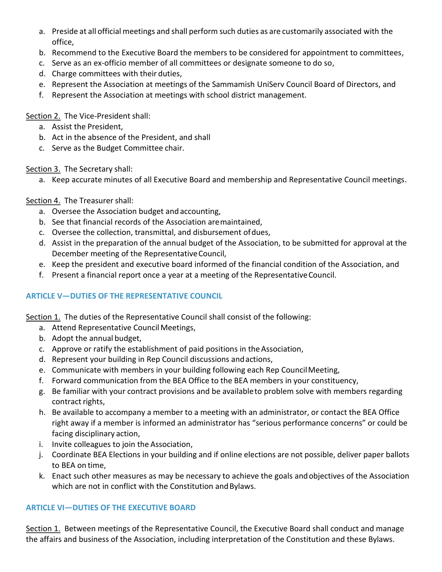- a. Preside at all official meetings and shall perform such duties as are customarily associated with the office,
- b. Recommend to the Executive Board the members to be considered for appointment to committees,
- c. Serve as an ex-officio member of all committees or designate someone to do so,
- d. Charge committees with their duties,
- e. Represent the Association at meetings of the Sammamish UniServ Council Board of Directors, and
- f. Represent the Association at meetings with school district management.

Section 2. The Vice-President shall:

- a. Assist the President,
- b. Act in the absence of the President, and shall
- c. Serve as the Budget Committee chair.

Section 3. The Secretary shall:

a. Keep accurate minutes of all Executive Board and membership and Representative Council meetings.

Section 4. The Treasurer shall:

- a. Oversee the Association budget and accounting,
- b. See that financial records of the Association aremaintained,
- c. Oversee the collection, transmittal, and disbursement ofdues,
- d. Assist in the preparation of the annual budget of the Association, to be submitted for approval at the December meeting of the Representative Council,
- e. Keep the president and executive board informed of the financial condition of the Association, and
- f. Present a financial report once a year at a meeting of the RepresentativeCouncil.

# **ARTICLE V—DUTIES OF THE REPRESENTATIVE COUNCIL**

Section 1. The duties of the Representative Council shall consist of the following:

- a. Attend Representative Council Meetings,
- b. Adopt the annual budget,
- c. Approve or ratify the establishment of paid positions in theAssociation,
- d. Represent your building in Rep Council discussions andactions,
- e. Communicate with members in your building following each Rep Council Meeting,
- f. Forward communication from the BEA Office to the BEA members in your constituency,
- g. Be familiar with your contract provisions and be availableto problem solve with members regarding contract rights,
- h. Be available to accompany a member to a meeting with an administrator, or contact the BEA Office right away if a member is informed an administrator has "serious performance concerns" or could be facing disciplinary action,
- i. Invite colleagues to join the Association,
- j. Coordinate BEA Elections in your building and if online elections are not possible, deliver paper ballots to BEA on time,
- k. Enact such other measures as may be necessary to achieve the goals andobjectives of the Association which are not in conflict with the Constitution and Bylaws.

## **ARTICLE VI—DUTIES OF THE EXECUTIVE BOARD**

Section 1. Between meetings of the Representative Council, the Executive Board shall conduct and manage the affairs and business of the Association, including interpretation of the Constitution and these Bylaws.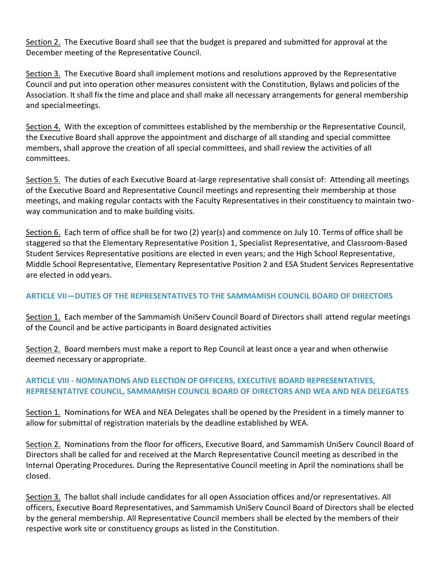Section 2. The Executive Board shall see that the budget is prepared and submitted for approval at the December meeting of the Representative Council.

Section 3. The Executive Board shall implement motions and resolutions approved by the Representative Council and put into operation other measures consistent with the Constitution, Bylaws and policies of the Association. It shall fix the time and place and shall make all necessary arrangements for general membership and specialmeetings.

Section 4. With the exception of committees established by the membership or the Representative Council, the Executive Board shall approve the appointment and discharge of all standing and special committee members, shall approve the creation of all special committees, and shall review the activities of all committees.

Section 5. The duties of each Executive Board at-large representative shall consist of: Attending all meetings of the Executive Board and Representative Council meetings and representing their membership at those meetings, and making regular contacts with the Faculty Representatives in their constituency to maintain twoway communication and to make building visits.

Section 6. Each term of office shall be for two (2) year(s) and commence on July 10. Termsof office shall be staggered so that the Elementary Representative Position 1, Specialist Representative, and Classroom-Based Student Services Representative positions are elected in even years; and the High School Representative, Middle School Representative, Elementary Representative Position 2 and ESA Student Services Representative are elected in odd years.

## **ARTICLE VII—DUTIES OF THE REPRESENTATIVES TO THE SAMMAMISH COUNCIL BOARD OF DIRECTORS**

Section 1. Each member of the Sammamish UniServ Council Board of Directors shall attend regular meetings of the Council and be active participants in Board designated activities

Section 2. Board members must make a report to Rep Council at least once a year and when otherwise deemed necessary or appropriate.

## **ARTICLE VIII - NOMINATIONS AND ELECTION OF OFFICERS, EXECUTIVE BOARD REPRESENTATIVES, REPRESENTATIVE COUNCIL, SAMMAMISH COUNCIL BOARD OF DIRECTORS AND WEA AND NEA DELEGATES**

Section 1. Nominations for WEA and NEA Delegates shall be opened by the President in a timely manner to allow for submittal of registration materials by the deadline established by WEA.

Section 2. Nominations from the floor for officers, Executive Board, and Sammamish UniServ Council Board of Directors shall be called for and received at the March Representative Council meeting as described in the Internal Operating Procedures. During the Representative Council meeting in April the nominations shall be closed.

Section 3. The ballot shall include candidates for all open Association offices and/or representatives. All officers, Executive Board Representatives, and Sammamish UniServ Council Board of Directors shall be elected by the general membership. All Representative Council members shall be elected by the members of their respective work site or constituency groups as listed in the Constitution.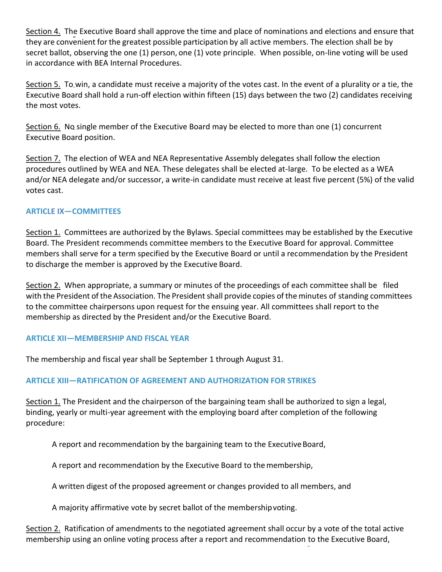Section 4. The Executive Board shall approve the time and place of nominations and elections and ensure that they are convenient for the greatest possible participation by all active members. The election shall be by secret ballot, observing the one (1) person, one (1) vote principle. When possible, on-line voting will be used in accordance with BEA Internal Procedures.

Section 5. To win, a candidate must receive a majority of the votes cast. In the event of a plurality or a tie, the Executive Board shall hold a run-off election within fifteen (15) days between the two (2) candidates receiving the most votes.

Section 6. No single member of the Executive Board may be elected to more than one (1) concurrent Executive Board position.

Section 7. The election of WEA and NEA Representative Assembly delegates shall follow the election procedures outlined by WEA and NEA. These delegates shall be elected at-large. To be elected as a WEA and/or NEA delegate and/or successor, a write-in candidate must receive at least five percent (5%) of the valid votes cast.

## **ARTICLE IX—COMMITTEES**

Section 1. Committees are authorized by the Bylaws. Special committees may be established by the Executive Board. The President recommends committee members to the Executive Board for approval. Committee members shall serve for a term specified by the Executive Board or until a recommendation by the President to discharge the member is approved by the Executive Board.

Section 2. When appropriate, a summary or minutes of the proceedings of each committee shall be filed with the President of the Association. The President shall provide copies of the minutes of standing committees to the committee chairpersons upon request for the ensuing year. All committees shall report to the membership as directed by the President and/or the Executive Board.

#### **ARTICLE XII—MEMBERSHIP AND FISCAL YEAR**

The membership and fiscal year shall be September 1 through August 31.

## **ARTICLE XIII—RATIFICATION OF AGREEMENT AND AUTHORIZATION FOR STRIKES**

Section 1. The President and the chairperson of the bargaining team shall be authorized to sign a legal, binding, yearly or multi-year agreement with the employing board after completion of the following procedure:

A report and recommendation by the bargaining team to the Executive Board,

A report and recommendation by the Executive Board to themembership,

A written digest of the proposed agreement or changes provided to all members, and

A majority affirmative vote by secret ballot of the membershipvoting.

Section 2. Ratification of amendments to the negotiated agreement shall occur by a vote of the total active membership using an online voting process after a report and recommendation to the Executive Board,